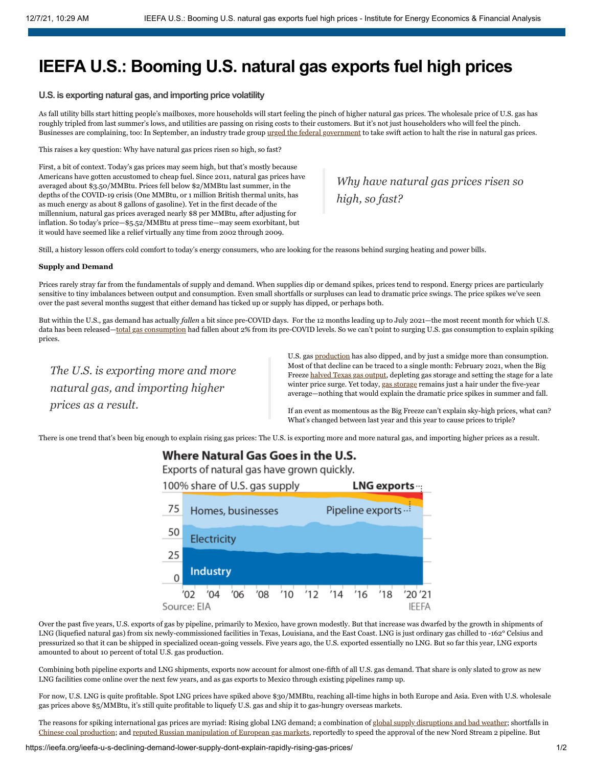# **IEEFA U.S.: Booming U.S. natural gas exports fuel high prices**

### **U.S. is exporting natural gas, and importing price volatility**

As fall utility bills start hitting people's mailboxes, more households will start feeling the pinch of higher natural gas prices. The wholesale price of U.S. gas has roughly tripled from last summer's lows, and utilities are passing on rising costs to their customers. But it's not just householders who will feel the pinch. Businesses are complaining, too: In September, an industry trade group urged the federal government to take swift action to halt the rise in natural gas prices.

This raises a key question: Why have natural gas prices risen so high, so fast?

First, a bit of context. Today's gas prices may seem high, but that's mostly because Americans have gotten accustomed to cheap fuel. Since 2011, natural gas prices have averaged about \$3.50/MMBtu. Prices fell below \$2/MMBtu last summer, in the depths of the COVID-19 crisis (One MMBtu, or 1 million British thermal units, has as much energy as about 8 gallons of gasoline). Yet in the first decade of the millennium, natural gas prices averaged nearly \$8 per MMBtu, after adjusting for inflation. So today's price—\$5.52/MMBtu at press time—may seem exorbitant, but it would have seemed like a relief virtually any time from 2002 through 2009.

*Why have natural gas prices risen so high, so fast?*

Still, a history lesson offers cold comfort to today's energy consumers, who are looking for the reasons behind surging heating and power bills.

#### **Supply and Demand**

Prices rarely stray far from the fundamentals of supply and demand. When supplies dip or demand spikes, prices tend to respond. Energy prices are particularly sensitive to tiny imbalances between output and consumption. Even small shortfalls or surpluses can lead to dramatic price swings. The price spikes we've seen over the past several months suggest that either demand has ticked up or supply has dipped, or perhaps both.

But within the U.S., gas demand has actually *fallen* a bit since pre-COVID days. For the 12 months leading up to July 2021—the most recent month for which U.S. data has been released-total gas consumption had fallen about 2% from its pre-COVID levels. So we can't point to surging U.S. gas consumption to explain spiking prices.

*The U.S. is exporting more and more natural gas, and importing higher prices as a result.*

U.S. gas production has also dipped, and by just a smidge more than consumption. Most of that decline can be traced to a single month: February 2021, when the Big Freeze halved Texas gas output, depleting gas storage and setting the stage for a late winter price surge. Yet today, gas storage remains just a hair under the five-year average—nothing that would explain the dramatic price spikes in summer and fall.

If an event as momentous as the Big Freeze can't explain sky-high prices, what can? What's changed between last year and this year to cause prices to triple?

There is one trend that's been big enough to explain rising gas prices: The U.S. is exporting more and more natural gas, and importing higher prices as a result.

# Where Natural Gas Goes in the U.S.

Exports of natural gas have grown quickly.



Over the past five years, U.S. exports of gas by pipeline, primarily to Mexico, have grown modestly. But that increase was dwarfed by the growth in shipments of LNG (liquefied natural gas) from six newly-commissioned facilities in Texas, Louisiana, and the East Coast. LNG is just ordinary gas chilled to -162° Celsius and pressurized so that it can be shipped in specialized ocean-going vessels. Five years ago, the U.S. exported essentially no LNG. But so far this year, LNG exports amounted to about 10 percent of total U.S. gas production.

Combining both pipeline exports and LNG shipments, exports now account for almost one-fifth of all U.S. gas demand. That share is only slated to grow as new LNG facilities come online over the next few years, and as gas exports to Mexico through existing pipelines ramp up.

For now, U.S. LNG is quite profitable. Spot LNG prices have spiked above \$30/MMBtu, reaching all-time highs in both Europe and Asia. Even with U.S. wholesale gas prices above \$5/MMBtu, it's still quite profitable to liquefy U.S. gas and ship it to gas-hungry overseas markets.

The reasons for spiking international gas prices are myriad: Rising global LNG demand; a combination of global supply disruptions and bad weather; shortfalls in Chinese coal production; and reputed Russian manipulation of European gas markets, reportedly to speed the approval of the new Nord Stream 2 pipeline. But